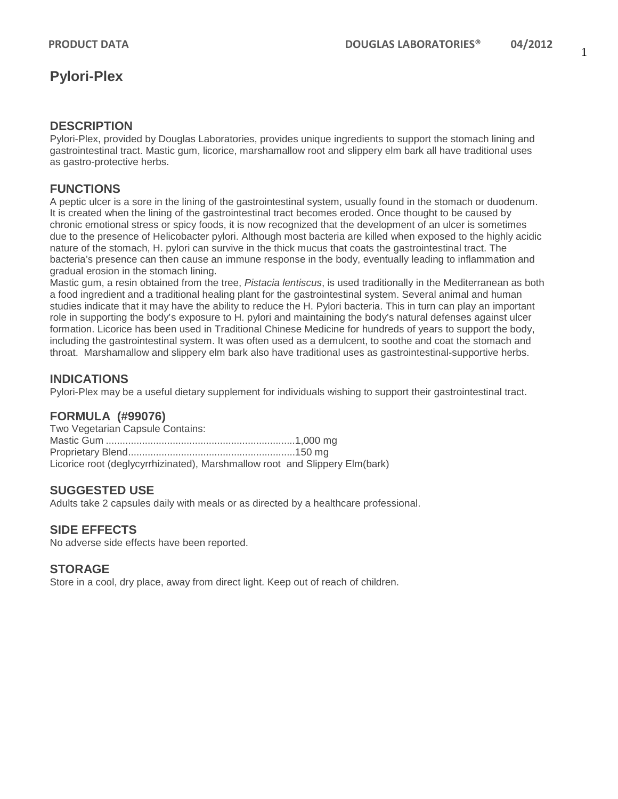#### **DESCRIPTION**

Pylori-Plex, provided by Douglas Laboratories, provides unique ingredients to support the stomach lining and gastrointestinal tract. Mastic gum, licorice, marshamallow root and slippery elm bark all have traditional uses as gastro-protective herbs.

## **FUNCTIONS**

A peptic ulcer is a sore in the lining of the gastrointestinal system, usually found in the stomach or duodenum. It is created when the lining of the gastrointestinal tract becomes eroded. Once thought to be caused by chronic emotional stress or spicy foods, it is now recognized that the development of an ulcer is sometimes due to the presence of Helicobacter pylori. Although most bacteria are killed when exposed to the highly acidic nature of the stomach, H. pylori can survive in the thick mucus that coats the gastrointestinal tract. The bacteria's presence can then cause an immune response in the body, eventually leading to inflammation and gradual erosion in the stomach lining.

Mastic gum, a resin obtained from the tree, *Pistacia lentiscus*, is used traditionally in the Mediterranean as both a food ingredient and a traditional healing plant for the gastrointestinal system. Several animal and human studies indicate that it may have the ability to reduce the H. Pylori bacteria. This in turn can play an important role in supporting the body's exposure to H. pylori and maintaining the body's natural defenses against ulcer formation. Licorice has been used in Traditional Chinese Medicine for hundreds of years to support the body, including the gastrointestinal system. It was often used as a demulcent, to soothe and coat the stomach and throat. Marshamallow and slippery elm bark also have traditional uses as gastrointestinal-supportive herbs.

## **INDICATIONS**

Pylori-Plex may be a useful dietary supplement for individuals wishing to support their gastrointestinal tract.

## **FORMULA (#99076)**

| Two Vegetarian Capsule Contains: |                                                                             |
|----------------------------------|-----------------------------------------------------------------------------|
|                                  |                                                                             |
|                                  |                                                                             |
|                                  | Licorice root (deglycyrrhizinated), Marshmallow root and Slippery Elm(bark) |

## **SUGGESTED USE**

Adults take 2 capsules daily with meals or as directed by a healthcare professional.

### **SIDE EFFECTS**

No adverse side effects have been reported.

### **STORAGE**

Store in a cool, dry place, away from direct light. Keep out of reach of children.